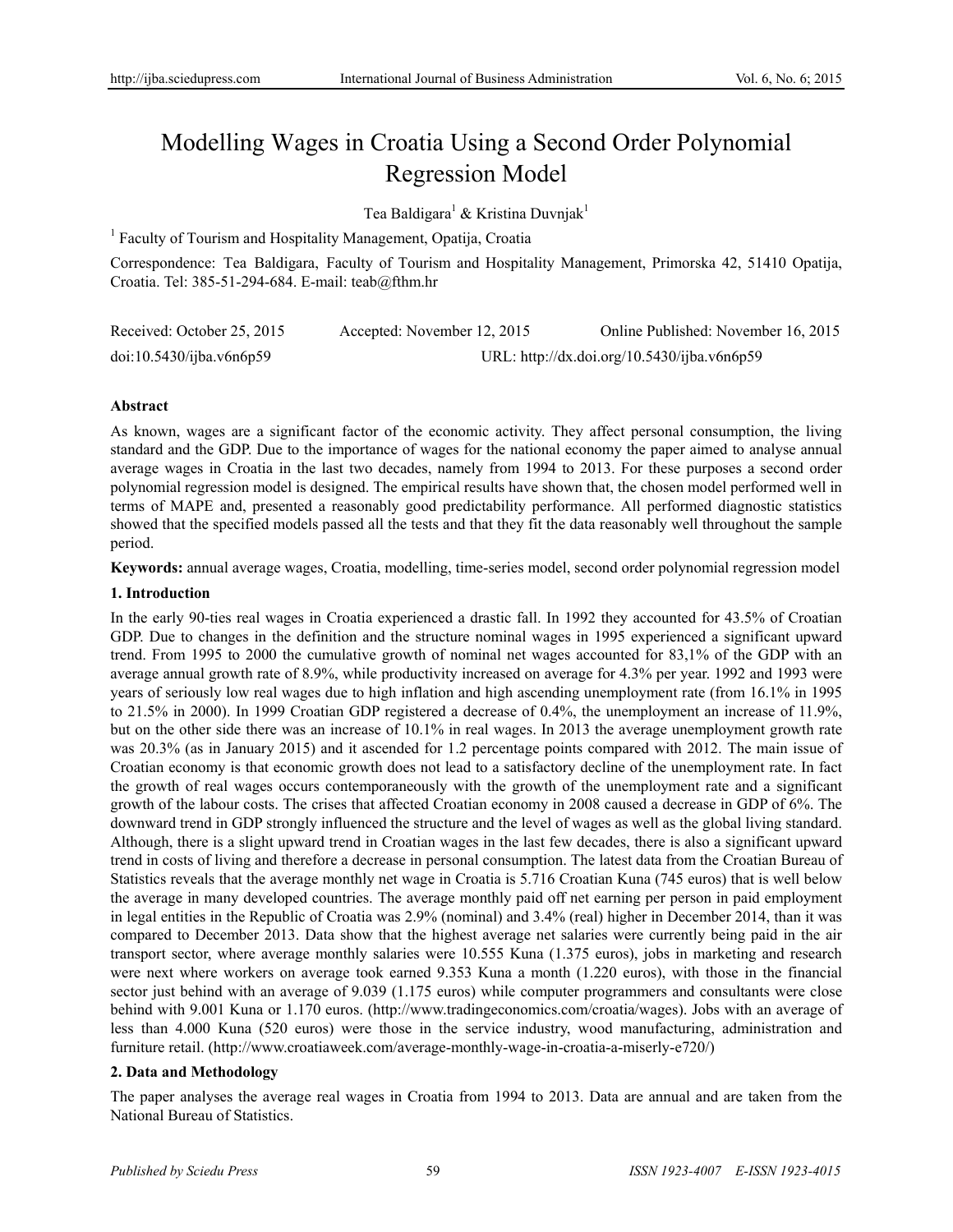# Modelling Wages in Croatia Using a Second Order Polynomial Regression Model

Tea Baldigara<sup>1</sup> & Kristina Duvnjak<sup>1</sup>

<sup>1</sup> Faculty of Tourism and Hospitality Management, Opatija, Croatia

Correspondence: Tea Baldigara, Faculty of Tourism and Hospitality Management, Primorska 42, 51410 Opatija, Croatia. Tel: 385-51-294-684. E-mail: teab@fthm.hr

| Received: October 25, 2015 | Accepted: November 12, 2015                 | Online Published: November 16, 2015 |
|----------------------------|---------------------------------------------|-------------------------------------|
| doi:10.5430/ijba.v6n6p59   | URL: http://dx.doi.org/10.5430/ijba.v6n6p59 |                                     |

# **Abstract**

As known, wages are a significant factor of the economic activity. They affect personal consumption, the living standard and the GDP. Due to the importance of wages for the national economy the paper aimed to analyse annual average wages in Croatia in the last two decades, namely from 1994 to 2013. For these purposes a second order polynomial regression model is designed. The empirical results have shown that, the chosen model performed well in terms of MAPE and, presented a reasonably good predictability performance. All performed diagnostic statistics showed that the specified models passed all the tests and that they fit the data reasonably well throughout the sample period.

**Keywords:** annual average wages, Croatia, modelling, time-series model, second order polynomial regression model

### **1. Introduction**

In the early 90-ties real wages in Croatia experienced a drastic fall. In 1992 they accounted for 43.5% of Croatian GDP. Due to changes in the definition and the structure nominal wages in 1995 experienced a significant upward trend. From 1995 to 2000 the cumulative growth of nominal net wages accounted for 83,1% of the GDP with an average annual growth rate of 8.9%, while productivity increased on average for 4.3% per year. 1992 and 1993 were years of seriously low real wages due to high inflation and high ascending unemployment rate (from 16.1% in 1995 to 21.5% in 2000). In 1999 Croatian GDP registered a decrease of 0.4%, the unemployment an increase of 11.9%, but on the other side there was an increase of 10.1% in real wages. In 2013 the average unemployment growth rate was 20.3% (as in January 2015) and it ascended for 1.2 percentage points compared with 2012. The main issue of Croatian economy is that economic growth does not lead to a satisfactory decline of the unemployment rate. In fact the growth of real wages occurs contemporaneously with the growth of the unemployment rate and a significant growth of the labour costs. The crises that affected Croatian economy in 2008 caused a decrease in GDP of 6%. The downward trend in GDP strongly influenced the structure and the level of wages as well as the global living standard. Although, there is a slight upward trend in Croatian wages in the last few decades, there is also a significant upward trend in costs of living and therefore a decrease in personal consumption. The latest data from the Croatian Bureau of Statistics reveals that the average monthly net wage in Croatia is 5.716 Croatian Kuna (745 euros) that is well below the average in many developed countries. The average monthly paid off net earning per person in paid employment in legal entities in the Republic of Croatia was 2.9% (nominal) and 3.4% (real) higher in December 2014, than it was compared to December 2013. Data show that the highest average net salaries were currently being paid in the air transport sector, where average monthly salaries were 10.555 Kuna (1.375 euros), jobs in marketing and research were next where workers on average took earned 9.353 Kuna a month (1.220 euros), with those in the financial sector just behind with an average of 9.039 (1.175 euros) while computer programmers and consultants were close behind with 9.001 Kuna or 1.170 euros. (http://www.tradingeconomics.com/croatia/wages). Jobs with an average of less than 4.000 Kuna (520 euros) were those in the service industry, wood manufacturing, administration and furniture retail. (http://www.croatiaweek.com/average-monthly-wage-in-croatia-a-miserly-e720/)

#### **2. Data and Methodology**

The paper analyses the average real wages in Croatia from 1994 to 2013. Data are annual and are taken from the National Bureau of Statistics.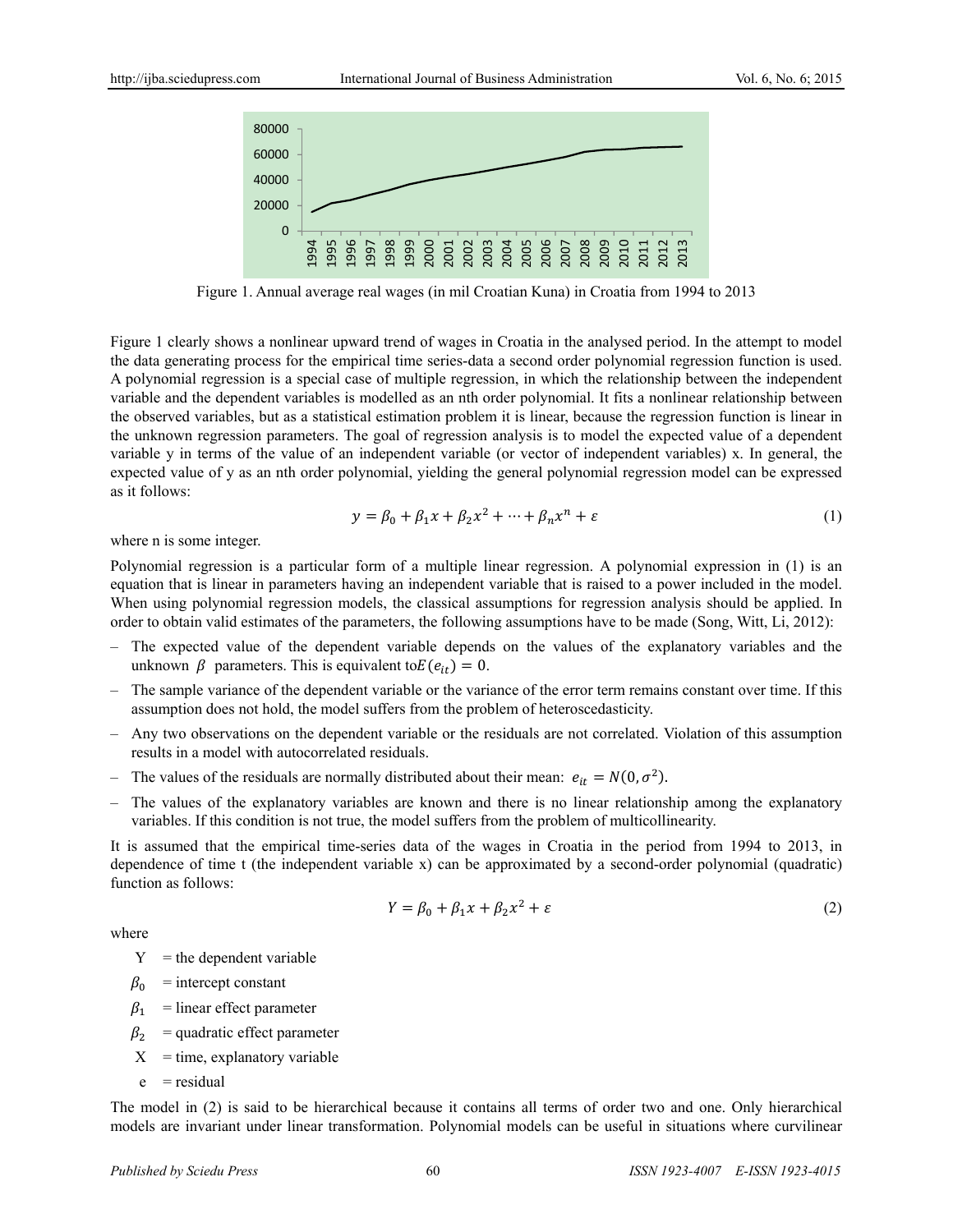

Figure 1. Annual average real wages (in mil Croatian Kuna) in Croatia from 1994 to 2013

Figure 1 clearly shows a nonlinear upward trend of wages in Croatia in the analysed period. In the attempt to model the data generating process for the empirical time series-data a second order polynomial regression function is used. A polynomial regression is a special case of multiple regression, in which the relationship between the independent variable and the dependent variables is modelled as an nth order polynomial. It fits a nonlinear relationship between the observed variables, but as a statistical estimation problem it is linear, because the regression function is linear in the unknown regression parameters. The goal of regression analysis is to model the expected value of a dependent variable y in terms of the value of an independent variable (or vector of independent variables) x. In general, the expected value of y as an nth order polynomial, yielding the general polynomial regression model can be expressed as it follows:

$$
y = \beta_0 + \beta_1 x + \beta_2 x^2 + \dots + \beta_n x^n + \varepsilon \tag{1}
$$

where n is some integer.

Polynomial regression is a particular form of a multiple linear regression. A polynomial expression in (1) is an equation that is linear in parameters having an independent variable that is raised to a power included in the model. When using polynomial regression models, the classical assumptions for regression analysis should be applied. In order to obtain valid estimates of the parameters, the following assumptions have to be made (Song, Witt, Li, 2012):

- ‒ The expected value of the dependent variable depends on the values of the explanatory variables and the unknown  $\beta$  parameters. This is equivalent to  $E(e_{it}) = 0$ .
- ‒ The sample variance of the dependent variable or the variance of the error term remains constant over time. If this assumption does not hold, the model suffers from the problem of heteroscedasticity.
- ‒ Any two observations on the dependent variable or the residuals are not correlated. Violation of this assumption results in a model with autocorrelated residuals.
- The values of the residuals are normally distributed about their mean:  $e_{it} = N(0, \sigma^2)$ .
- ‒ The values of the explanatory variables are known and there is no linear relationship among the explanatory variables. If this condition is not true, the model suffers from the problem of multicollinearity.

It is assumed that the empirical time-series data of the wages in Croatia in the period from 1994 to 2013, in dependence of time t (the independent variable x) can be approximated by a second-order polynomial (quadratic) function as follows:

$$
Y = \beta_0 + \beta_1 x + \beta_2 x^2 + \varepsilon \tag{2}
$$

where

 $Y =$  the dependent variable

- $\beta_0$  = intercept constant
- $\beta_1$  = linear effect parameter
- $\beta_2$  = quadratic effect parameter
- $X = time$ , explanatory variable
- $e$  = residual

The model in (2) is said to be hierarchical because it contains all terms of order two and one. Only hierarchical models are invariant under linear transformation. Polynomial models can be useful in situations where curvilinear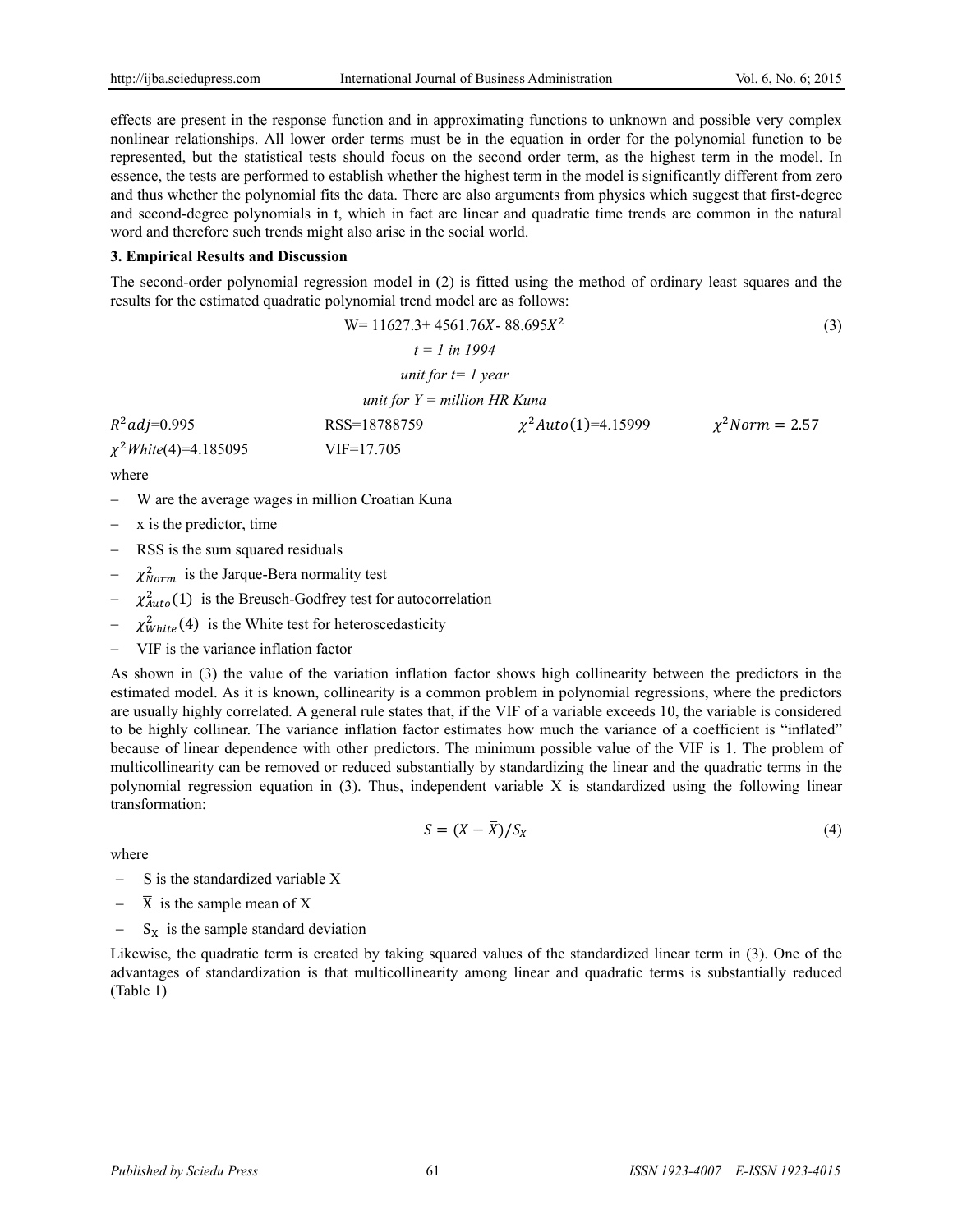effects are present in the response function and in approximating functions to unknown and possible very complex nonlinear relationships. All lower order terms must be in the equation in order for the polynomial function to be represented, but the statistical tests should focus on the second order term, as the highest term in the model. In essence, the tests are performed to establish whether the highest term in the model is significantly different from zero and thus whether the polynomial fits the data. There are also arguments from physics which suggest that first-degree and second-degree polynomials in t, which in fact are linear and quadratic time trends are common in the natural word and therefore such trends might also arise in the social world.

# **3. Empirical Results and Discussion**

The second-order polynomial regression model in (2) is fitted using the method of ordinary least squares and the results for the estimated quadratic polynomial trend model are as follows:

$$
W = 11627.3 + 4561.76X - 88.695X^{2}
$$
\n
$$
t = 1 \text{ in } 1994
$$
\n
$$
unit for t = 1 year
$$
\n
$$
R^{2}adj=0.995
$$
\n
$$
\chi^{2}White(4)=4.185095
$$
\n
$$
x^{2}White(4)=4.185095
$$
\n
$$
VIF=17.705
$$
\nwhere (1)

- W are the average wages in million Croatian Kuna
- x is the predictor, time

where

- RSS is the sum squared residuals
- $-\chi_{Norm}^2$  is the Jarque-Bera normality test
- $-\chi^2_{Auto}(1)$  is the Breusch-Godfrey test for autocorrelation
- $\chi^2_{White}(4)$  is the White test for heteroscedasticity
- VIF is the variance inflation factor

As shown in (3) the value of the variation inflation factor shows high collinearity between the predictors in the estimated model. As it is known, collinearity is a common problem in polynomial regressions, where the predictors are usually highly correlated. A general rule states that, if the VIF of a variable exceeds 10, the variable is considered to be highly collinear. The variance inflation factor estimates how much the variance of a coefficient is "inflated" because of linear dependence with other predictors. The minimum possible value of the VIF is 1. The problem of multicollinearity can be removed or reduced substantially by standardizing the linear and the quadratic terms in the polynomial regression equation in (3). Thus, independent variable X is standardized using the following linear transformation:

$$
S = (X - \overline{X})/S_X \tag{4}
$$

where

- $-S$  is the standardized variable X
- $\overline{X}$  is the sample mean of X
- $S_X$  is the sample standard deviation

Likewise, the quadratic term is created by taking squared values of the standardized linear term in (3). One of the advantages of standardization is that multicollinearity among linear and quadratic terms is substantially reduced (Table 1)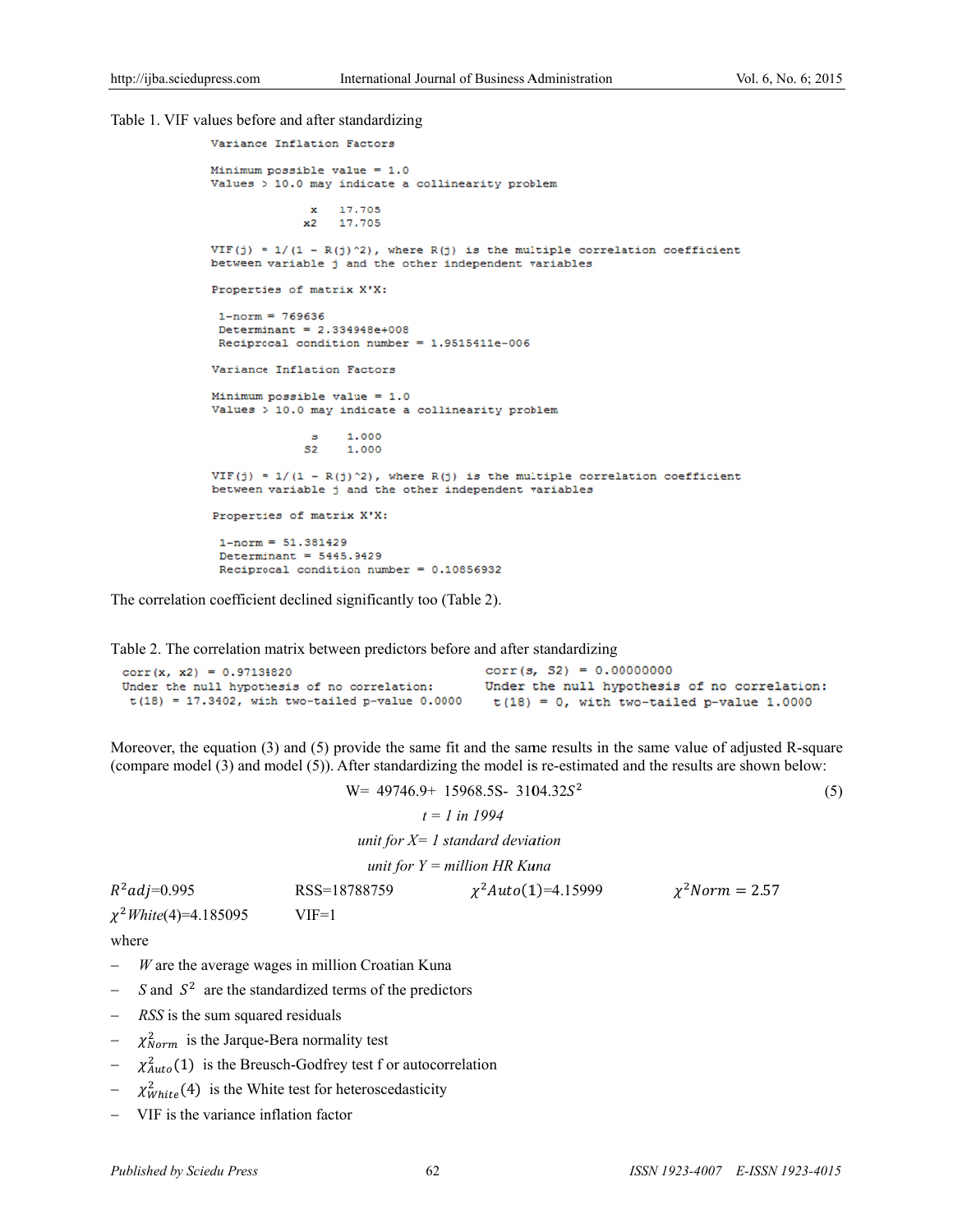#### Table 1. VIF values before and after standardizing

```
mal of Business Administration<br>
(j) is the multiple corre<br>
independent variables<br>
.9515411e-006<br>
linearity problem<br>
(j) is the multiple corre<br>
independent variables<br>
.10856932<br>
(Table 2).<br>
.10856932<br>
(Table 2).<br>
efore and
Variance Inflation Factors
Minimum possible value = 1.0Values > 10.0 may indicate a collinearity problem
                  x 17.705
                 x2 17.705
VIF(j) = 1/(1 - R(j)^2), where R(j) is the multiple correlation coefficient
between variable j and the other independent variables
Properties of matrix X'X:
 1-norm = 769636Determinant = 2.334948e+008Reciprocal condition number = 1.9515411e-006
Variance Inflation Factors
Minimum possible value = 1.0Values > 10.0 may indicate a collinearity problem
                         1.000
                  \mathbf{s}1.000
                 S<sub>2</sub>VIF(j) = 1/(1 - R(j)^2), where R(j) is the multiple correlation coefficient
between variable j and the other independent variables
Properties of matrix X'X:
 1-norm = 51.381429Determinant = 5445.9429Reciprocal condition number = 0.10856932
```
The correlation coefficient declined significantly too (Table 2).

Table 2. The correlation matrix between predictors before and after standardizing

| $corr(x, x2) = 0.97134820$                         | $corr(s, S2) = 0.00000000$                   |
|----------------------------------------------------|----------------------------------------------|
| Under the null hypothesis of no correlation:       | Under the null hypothesis of no correlation: |
| $t(18) = 17.3402$ , with two-tailed p-value 0.0000 | $t(18) = 0$ , with two-tailed p-value 1.0000 |

Moreover, the equation (3) and (5) provide the same fit and the same results in the same value of adjusted R-square (compare model (3) and model (5)). After standardizing the model is re-estimated and the results are shown below:

 $W = 49746.9 + 15968.5S - 3104.32S^2$ 

$$
(\mathbf{5})
$$

*unit for X*= 1 standard deviation

 *unit for Y = m million HR Ku una*

| $R^2$ adj=0.995            | RSS=18788759 | $\chi^2$ Auto(1)=4.15999 | $\chi^2$ Norm = 2.57 |
|----------------------------|--------------|--------------------------|----------------------|
| $\chi^2$ White(4)=4.185095 | $VIF=1$      |                          |                      |

 $t = 1$  in 1994

where

- $-W$  are the average wages in million Croatian Kuna
- $\sim$  *S* and  $S^2$  are the standardized terms of the predictors
- *RSS* is the sum squared residuals
- $-\chi_{Norm}^2$  is the Jarque-Bera normality test
- $-\chi^2_{Auto}(1)$  is the Breusch-Godfrey test f or autocorrelation
- $-\chi^2_{White}(4)$  is the White test for heteroscedasticity
- VIF is the variance inflation factor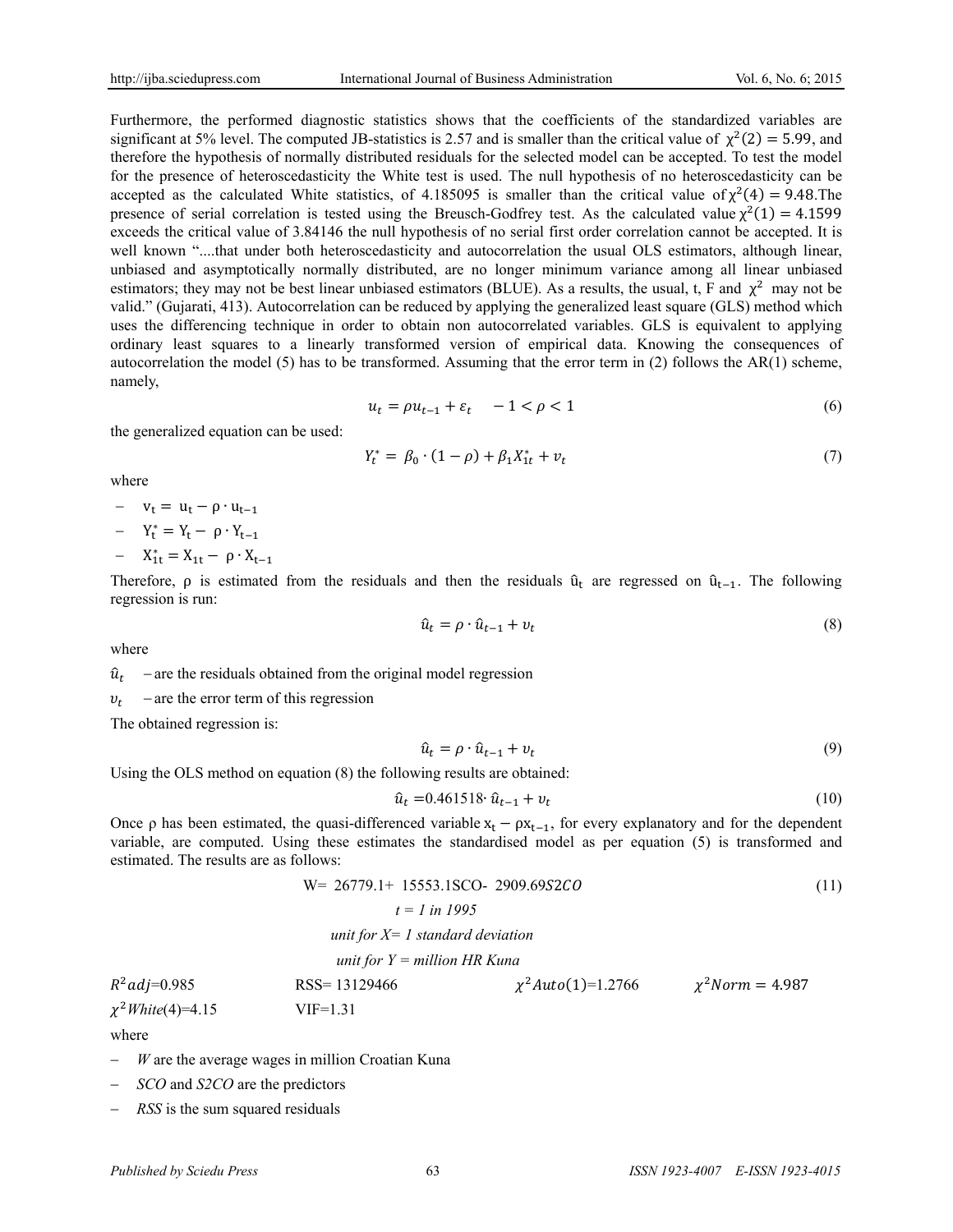Furthermore, the performed diagnostic statistics shows that the coefficients of the standardized variables are significant at 5% level. The computed JB-statistics is 2.57 and is smaller than the critical value of  $\chi^2(2) = 5.99$ , and therefore the hypothesis of normally distributed residuals for the selected model can be accepted. To test the model for the presence of heteroscedasticity the White test is used. The null hypothesis of no heteroscedasticity can be accepted as the calculated White statistics, of 4.185095 is smaller than the critical value of  $\chi^2(4) = 9.48$ .The presence of serial correlation is tested using the Breusch-Godfrey test. As the calculated value  $\chi^2(1) = 4.1599$ exceeds the critical value of 3.84146 the null hypothesis of no serial first order correlation cannot be accepted. It is well known "....that under both heteroscedasticity and autocorrelation the usual OLS estimators, although linear, unbiased and asymptotically normally distributed, are no longer minimum variance among all linear unbiased estimators; they may not be best linear unbiased estimators (BLUE). As a results, the usual, t, F and  $\chi^2$  may not be valid." (Gujarati, 413). Autocorrelation can be reduced by applying the generalized least square (GLS) method which uses the differencing technique in order to obtain non autocorrelated variables. GLS is equivalent to applying ordinary least squares to a linearly transformed version of empirical data. Knowing the consequences of autocorrelation the model (5) has to be transformed. Assuming that the error term in (2) follows the AR(1) scheme, namely,

$$
u_t = \rho u_{t-1} + \varepsilon_t \quad -1 < \rho < 1 \tag{6}
$$

the generalized equation can be used:

$$
Y_t^* = \beta_0 \cdot (1 - \rho) + \beta_1 X_{1t}^* + v_t \tag{7}
$$

where

- $-v_t = u_t \rho \cdot u_{t-1}$
- $-Y_t^* = Y_t \rho \cdot Y_{t-1}$
- $X_{1t}^* = X_{1t} \rho \cdot X_{t-1}$

Therefore,  $\rho$  is estimated from the residuals and then the residuals  $\hat{u}_t$  are regressed on  $\hat{u}_{t-1}$ . The following regression is run:

$$
\hat{u}_t = \rho \cdot \hat{u}_{t-1} + v_t \tag{8}
$$

where

 $\hat{u}_t$  – are the residuals obtained from the original model regression

 $v_t$  – are the error term of this regression

The obtained regression is:

$$
\hat{u}_t = \rho \cdot \hat{u}_{t-1} + v_t \tag{9}
$$

Using the OLS method on equation (8) the following results are obtained:

$$
\hat{u}_t = 0.461518 \cdot \hat{u}_{t-1} + v_t \tag{10}
$$

Once ρ has been estimated, the quasi-differenced variable  $x_1 - ρx_{t-1}$ , for every explanatory and for the dependent variable, are computed. Using these estimates the standardised model as per equation (5) is transformed and estimated. The results are as follows:

$$
W = 26779.1 + 15553.1SCO - 2909.69S2CO
$$
\n
$$
t = 1 \text{ in } 1995
$$
\n*unit for X = 1 standard deviation*\n*unit for Y = million HR Kuna*\n
$$
PSS = 13129466
$$
\n
$$
v^2 \text{Auto(1)=1.2766}
$$
\n
$$
v^2 \text{Norm} = 4.987
$$

 $R^2$ adj=0.985 RSS= 13129466  $\chi^2$ Auto(1)=1.2766  $\chi^2$ Norm = 4.987  $\chi^2$ *White*(4)=4.15 VIF=1.31

where

- *W* are the average wages in million Croatian Kuna
- *SCO* and *S2CO* are the predictors
- *RSS* is the sum squared residuals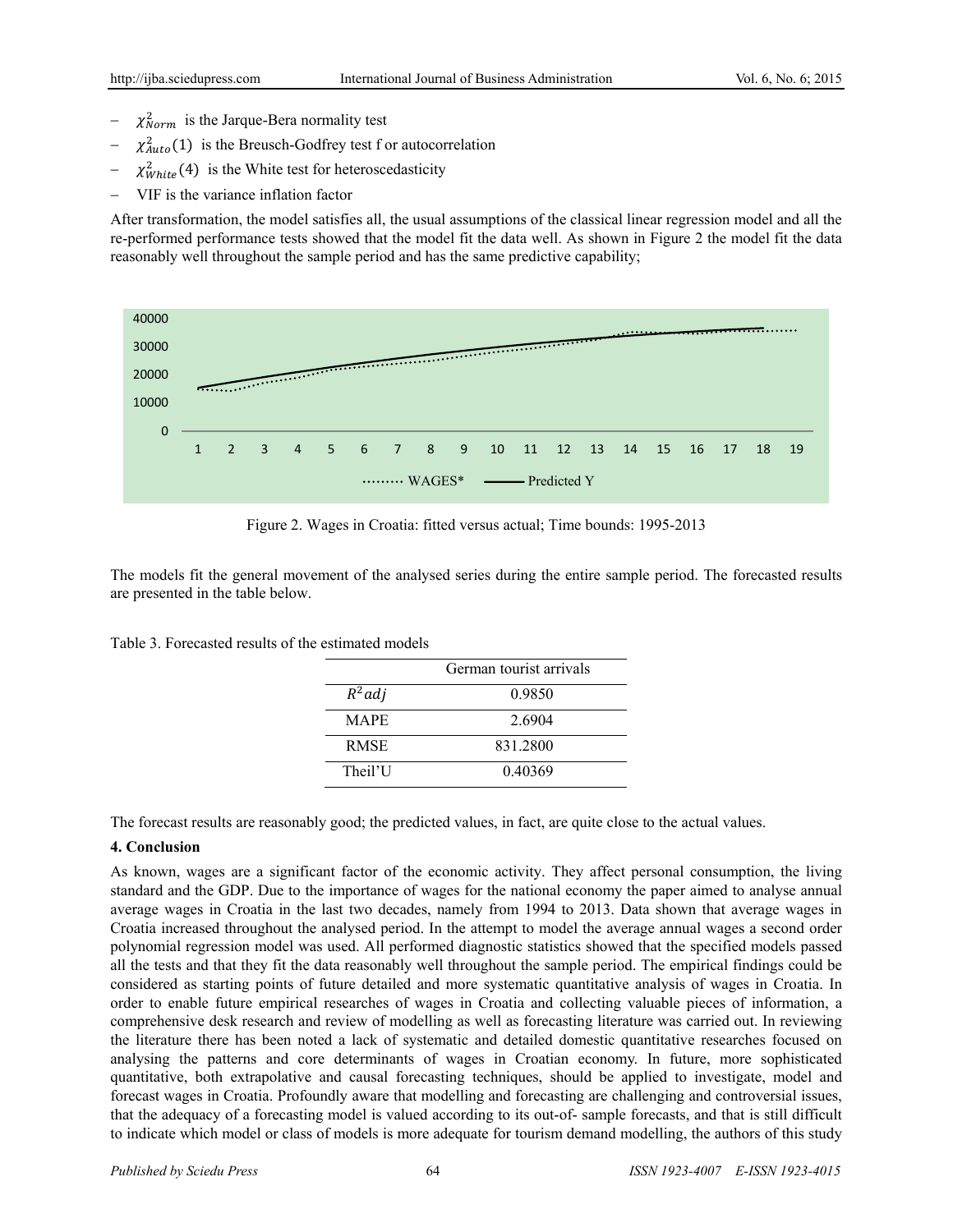- $-\chi_{Norm}^2$  is the Jarque-Bera normality test
- $\chi^2_{Auto}(1)$  is the Breusch-Godfrey test f or autocorrelation
- $-\chi^2_{White}(4)$  is the White test for heteroscedasticity
- VIF is the variance inflation factor

After transformation, the model satisfies all, the usual assumptions of the classical linear regression model and all the re-performed performance tests showed that the model fit the data well. As shown in Figure 2 the model fit the data reasonably well throughout the sample period and has the same predictive capability;



Figure 2. Wages in Croatia: fitted versus actual; Time bounds: 1995-2013

The models fit the general movement of the analysed series during the entire sample period. The forecasted results are presented in the table below.

Table 3. Forecasted results of the estimated models

|             | German tourist arrivals |
|-------------|-------------------------|
| $R^2$ adj   | 0.9850                  |
| <b>MAPE</b> | 2.6904                  |
| <b>RMSE</b> | 831.2800                |
| Theil'U     | 0.40369                 |

The forecast results are reasonably good; the predicted values, in fact, are quite close to the actual values.

## **4. Conclusion**

As known, wages are a significant factor of the economic activity. They affect personal consumption, the living standard and the GDP. Due to the importance of wages for the national economy the paper aimed to analyse annual average wages in Croatia in the last two decades, namely from 1994 to 2013. Data shown that average wages in Croatia increased throughout the analysed period. In the attempt to model the average annual wages a second order polynomial regression model was used. All performed diagnostic statistics showed that the specified models passed all the tests and that they fit the data reasonably well throughout the sample period. The empirical findings could be considered as starting points of future detailed and more systematic quantitative analysis of wages in Croatia. In order to enable future empirical researches of wages in Croatia and collecting valuable pieces of information, a comprehensive desk research and review of modelling as well as forecasting literature was carried out. In reviewing the literature there has been noted a lack of systematic and detailed domestic quantitative researches focused on analysing the patterns and core determinants of wages in Croatian economy. In future, more sophisticated quantitative, both extrapolative and causal forecasting techniques, should be applied to investigate, model and forecast wages in Croatia. Profoundly aware that modelling and forecasting are challenging and controversial issues, that the adequacy of a forecasting model is valued according to its out-of- sample forecasts, and that is still difficult to indicate which model or class of models is more adequate for tourism demand modelling, the authors of this study